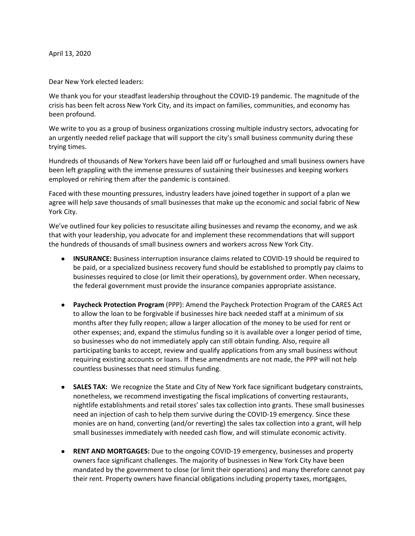Dear New York elected leaders:

We thank you for your steadfast leadership throughout the COVID-19 pandemic. The magnitude of the crisis has been felt across New York City, and its impact on families, communities, and economy has been profound.

We write to you as a group of business organizations crossing multiple industry sectors, advocating for an urgently needed relief package that will support the city's small business community during these trying times.

Hundreds of thousands of New Yorkers have been laid off or furloughed and small business owners have been left grappling with the immense pressures of sustaining their businesses and keeping workers employed or rehiring them after the pandemic is contained.

Faced with these mounting pressures, industry leaders have joined together in support of a plan we agree will help save thousands of small businesses that make up the economic and social fabric of New York City.

We've outlined four key policies to resuscitate ailing businesses and revamp the economy, and we ask that with your leadership, you advocate for and implement these recommendations that will support the hundreds of thousands of small business owners and workers across New York City.

- **INSURANCE:** Business interruption insurance claims related to COVID-19 should be required to be paid, or a specialized business recovery fund should be established to promptly pay claims to businesses required to close (or limit their operations), by government order. When necessary, the federal government must provide the insurance companies appropriate assistance.
- **Paycheck Protection Program** (PPP): Amend the Paycheck Protection Program of the CARES Act to allow the loan to be forgivable if businesses hire back needed staff at a minimum of six months after they fully reopen; allow a larger allocation of the money to be used for rent or other expenses; and, expand the stimulus funding so it is available over a longer period of time, so businesses who do not immediately apply can still obtain funding. Also, require all participating banks to accept, review and qualify applications from any small business without requiring existing accounts or loans. If these amendments are not made, the PPP will not help countless businesses that need stimulus funding.
- **SALES TAX:** We recognize the State and City of New York face significant budgetary constraints, nonetheless, we recommend investigating the fiscal implications of converting restaurants, nightlife establishments and retail stores' sales tax collection into grants. These small businesses need an injection of cash to help them survive during the COVID-19 emergency. Since these monies are on hand, converting (and/or reverting) the sales tax collection into a grant, will help small businesses immediately with needed cash flow, and will stimulate economic activity.
- **RENT AND MORTGAGES:** Due to the ongoing COVID-19 emergency, businesses and property owners face significant challenges. The majority of businesses in New York City have been mandated by the government to close (or limit their operations) and many therefore cannot pay their rent. Property owners have financial obligations including property taxes, mortgages,